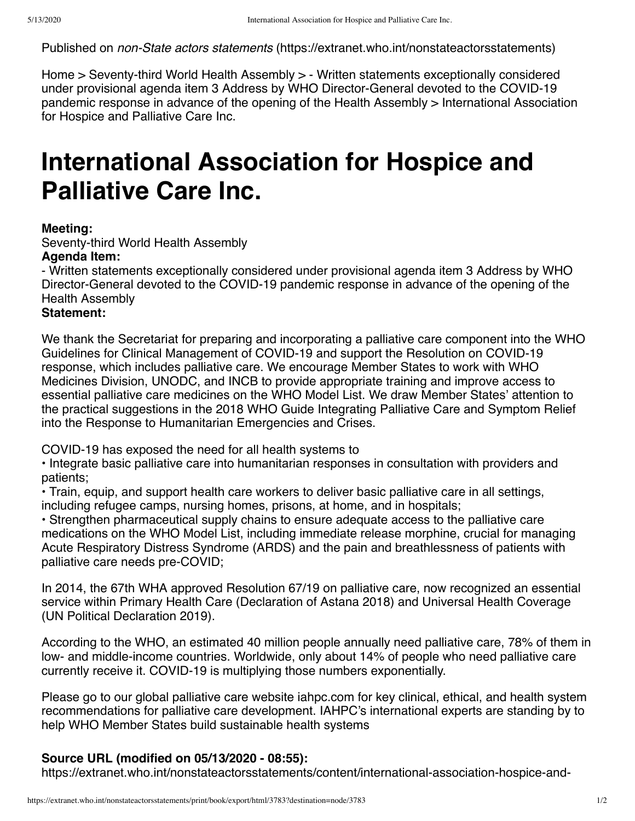Published on *non-State actors statements* [\(https://extranet.who.int/nonstateactorsstatements](https://extranet.who.int/nonstateactorsstatements))

[Hom](https://extranet.who.int/nonstateactorsstatements/)[e > S](https://extranet.who.int/nonstateactorsstatements/content/written-statements-exceptionally-considered-under-provisional-agenda-item-3-address-who)[eventy-third World Health Assembly](https://extranet.who.int/nonstateactorsstatements/content/seventy-third-world-health-assembly) [> - Written statements exceptionally considered](https://extranet.who.int/nonstateactorsstatements/content/written-statements-exceptionally-considered-under-provisional-agenda-item-3-address-who) under provisional agenda item 3 Address by WHO Director-General devoted to the COVID-19 pandemic response in advance of the opening of the Health Assembly > International Association for Hospice and Palliative Care Inc.

# **International Association for Hospice and Palliative Care Inc.**

### **Meeting:**

Seventy-third World Health Assembly

#### **Agenda Item:**

- Written statements exceptionally considered under provisional agenda item 3 Address by WHO Director-General devoted to the COVID-19 pandemic response in advance of the opening of the Health Assembly

## **Statement:**

We thank the Secretariat for preparing and incorporating a palliative care component into the WHO Guidelines for Clinical Management of COVID-19 and support the Resolution on COVID-19 response, which includes palliative care. We encourage Member States to work with WHO Medicines Division, UNODC, and INCB to provide appropriate training and improve access to essential palliative care medicines on the WHO Model List. We draw Member States' attention to the practical suggestions in the 2018 WHO Guide Integrating Palliative Care and Symptom Relief into the Response to Humanitarian Emergencies and Crises.

COVID-19 has exposed the need for all health systems to

• Integrate basic palliative care into humanitarian responses in consultation with providers and patients;

• Train, equip, and support health care workers to deliver basic palliative care in all settings, including refugee camps, nursing homes, prisons, at home, and in hospitals;

• Strengthen pharmaceutical supply chains to ensure adequate access to the palliative care medications on the WHO Model List, including immediate release morphine, crucial for managing Acute Respiratory Distress Syndrome (ARDS) and the pain and breathlessness of patients with palliative care needs pre-COVID;

In 2014, the 67th WHA approved Resolution 67/19 on palliative care, now recognized an essential service within Primary Health Care (Declaration of Astana 2018) and Universal Health Coverage (UN Political Declaration 2019).

According to the WHO, an estimated 40 million people annually need palliative care, 78% of them in low- and middle-income countries. Worldwide, only about 14% of people who need palliative care currently receive it. COVID-19 is multiplying those numbers exponentially.

Please go to our global palliative care website iahpc.com for key clinical, ethical, and health system recommendations for palliative care development. IAHPC's international experts are standing by to help WHO Member States build sustainable health systems

# **Source URL (modified on 05/13/2020 - 08:55):**

https://extranet.who.int/nonstateactorsstatements/content/international-association-hospice-and-